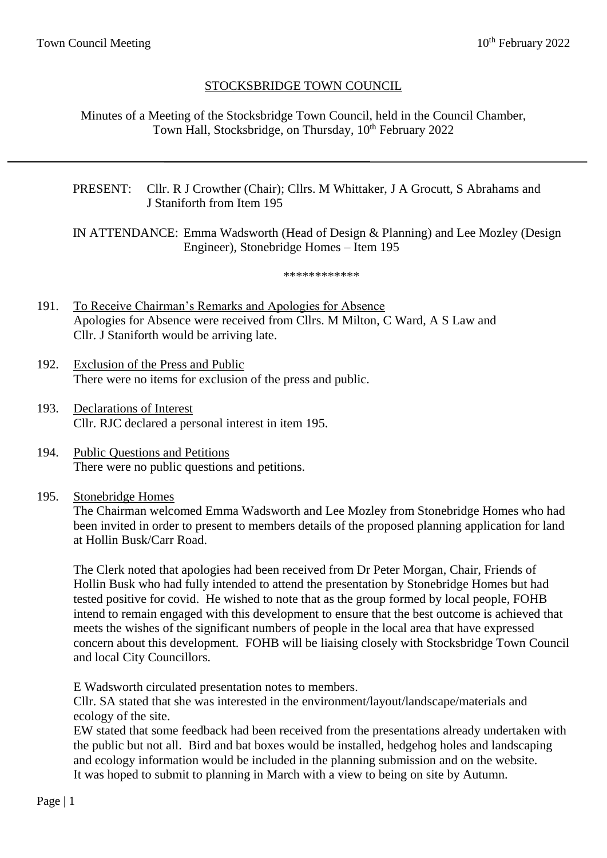# STOCKSBRIDGE TOWN COUNCIL

Minutes of a Meeting of the Stocksbridge Town Council, held in the Council Chamber, Town Hall, Stocksbridge, on Thursday, 10<sup>th</sup> February 2022

# PRESENT: Cllr. R J Crowther (Chair); Cllrs. M Whittaker, J A Grocutt, S Abrahams and J Staniforth from Item 195

IN ATTENDANCE: Emma Wadsworth (Head of Design & Planning) and Lee Mozley (Design Engineer), Stonebridge Homes – Item 195

#### \*\*\*\*\*\*\*\*\*\*\*\*

- 191. To Receive Chairman's Remarks and Apologies for Absence Apologies for Absence were received from Cllrs. M Milton, C Ward, A S Law and Cllr. J Staniforth would be arriving late.
- 192. Exclusion of the Press and Public There were no items for exclusion of the press and public.
- 193. Declarations of Interest Cllr. RJC declared a personal interest in item 195.
- 194. Public Questions and Petitions There were no public questions and petitions.
- 195. Stonebridge Homes

The Chairman welcomed Emma Wadsworth and Lee Mozley from Stonebridge Homes who had been invited in order to present to members details of the proposed planning application for land at Hollin Busk/Carr Road.

The Clerk noted that apologies had been received from Dr Peter Morgan, Chair, Friends of Hollin Busk who had fully intended to attend the presentation by Stonebridge Homes but had tested positive for covid. He wished to note that as the group formed by local people, FOHB intend to remain engaged with this development to ensure that the best outcome is achieved that meets the wishes of the significant numbers of people in the local area that have expressed concern about this development. FOHB will be liaising closely with Stocksbridge Town Council and local City Councillors.

E Wadsworth circulated presentation notes to members.

Cllr. SA stated that she was interested in the environment/layout/landscape/materials and ecology of the site.

EW stated that some feedback had been received from the presentations already undertaken with the public but not all. Bird and bat boxes would be installed, hedgehog holes and landscaping and ecology information would be included in the planning submission and on the website. It was hoped to submit to planning in March with a view to being on site by Autumn.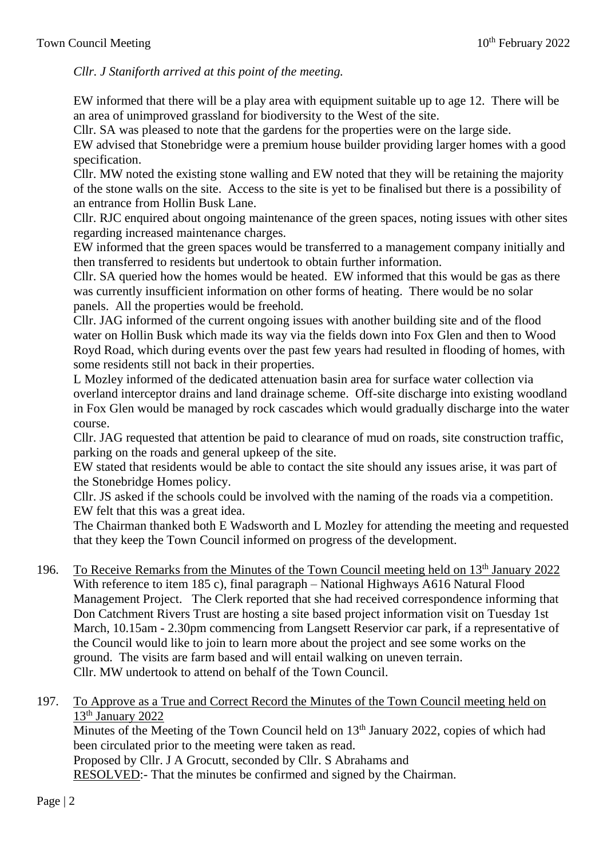*Cllr. J Staniforth arrived at this point of the meeting.*

EW informed that there will be a play area with equipment suitable up to age 12. There will be an area of unimproved grassland for biodiversity to the West of the site.

Cllr. SA was pleased to note that the gardens for the properties were on the large side.

EW advised that Stonebridge were a premium house builder providing larger homes with a good specification.

Cllr. MW noted the existing stone walling and EW noted that they will be retaining the majority of the stone walls on the site. Access to the site is yet to be finalised but there is a possibility of an entrance from Hollin Busk Lane.

Cllr. RJC enquired about ongoing maintenance of the green spaces, noting issues with other sites regarding increased maintenance charges.

EW informed that the green spaces would be transferred to a management company initially and then transferred to residents but undertook to obtain further information.

Cllr. SA queried how the homes would be heated. EW informed that this would be gas as there was currently insufficient information on other forms of heating. There would be no solar panels. All the properties would be freehold.

Cllr. JAG informed of the current ongoing issues with another building site and of the flood water on Hollin Busk which made its way via the fields down into Fox Glen and then to Wood Royd Road, which during events over the past few years had resulted in flooding of homes, with some residents still not back in their properties.

L Mozley informed of the dedicated attenuation basin area for surface water collection via overland interceptor drains and land drainage scheme. Off-site discharge into existing woodland in Fox Glen would be managed by rock cascades which would gradually discharge into the water course.

Cllr. JAG requested that attention be paid to clearance of mud on roads, site construction traffic, parking on the roads and general upkeep of the site.

EW stated that residents would be able to contact the site should any issues arise, it was part of the Stonebridge Homes policy.

Cllr. JS asked if the schools could be involved with the naming of the roads via a competition. EW felt that this was a great idea.

The Chairman thanked both E Wadsworth and L Mozley for attending the meeting and requested that they keep the Town Council informed on progress of the development.

- 196. To Receive Remarks from the Minutes of the Town Council meeting held on 13th January 2022 With reference to item 185 c), final paragraph – National Highways A616 Natural Flood Management Project. The Clerk reported that she had received correspondence informing that Don Catchment Rivers Trust are hosting a site based project information visit on Tuesday 1st March, 10.15am - 2.30pm commencing from Langsett Reservior car park, if a representative of the Council would like to join to learn more about the project and see some works on the ground. The visits are farm based and will entail walking on uneven terrain. Cllr. MW undertook to attend on behalf of the Town Council.
- 197. To Approve as a True and Correct Record the Minutes of the Town Council meeting held on 13<sup>th</sup> January 2022

Minutes of the Meeting of the Town Council held on 13<sup>th</sup> January 2022, copies of which had been circulated prior to the meeting were taken as read.

Proposed by Cllr. J A Grocutt, seconded by Cllr. S Abrahams and

RESOLVED:- That the minutes be confirmed and signed by the Chairman.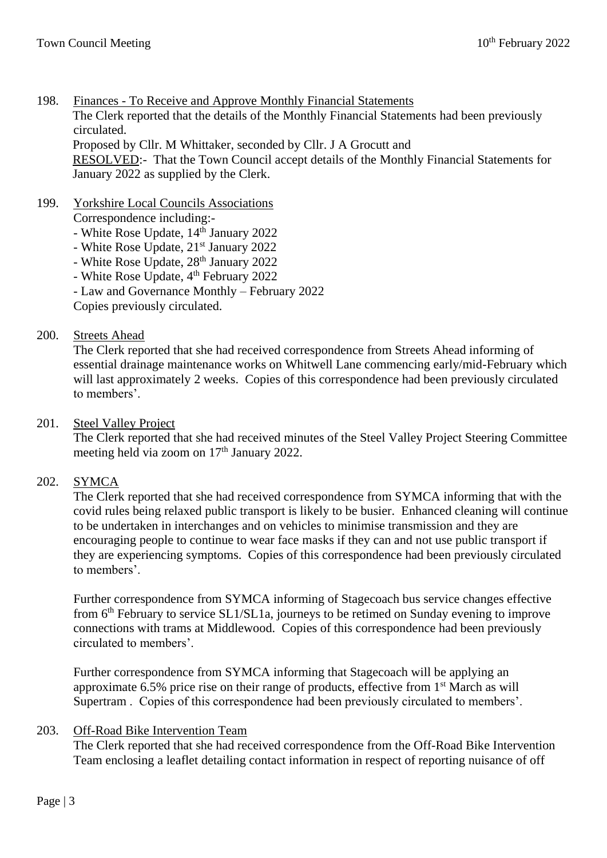- 198. Finances To Receive and Approve Monthly Financial Statements The Clerk reported that the details of the Monthly Financial Statements had been previously circulated. Proposed by Cllr. M Whittaker, seconded by Cllr. J A Grocutt and RESOLVED:- That the Town Council accept details of the Monthly Financial Statements for January 2022 as supplied by the Clerk.
- 199. Yorkshire Local Councils Associations Correspondence including:-
	- White Rose Update,  $14<sup>th</sup>$  January 2022
	- White Rose Update, 21<sup>st</sup> January 2022
	- White Rose Update, 28<sup>th</sup> January 2022
	- White Rose Update, 4<sup>th</sup> February 2022
	- Law and Governance Monthly February 2022

Copies previously circulated.

# 200. Streets Ahead

The Clerk reported that she had received correspondence from Streets Ahead informing of essential drainage maintenance works on Whitwell Lane commencing early/mid-February which will last approximately 2 weeks. Copies of this correspondence had been previously circulated to members'.

# 201. Steel Valley Project

The Clerk reported that she had received minutes of the Steel Valley Project Steering Committee meeting held via zoom on 17<sup>th</sup> January 2022.

### 202. SYMCA

The Clerk reported that she had received correspondence from SYMCA informing that with the covid rules being relaxed public transport is likely to be busier. Enhanced cleaning will continue to be undertaken in interchanges and on vehicles to minimise transmission and they are encouraging people to continue to wear face masks if they can and not use public transport if they are experiencing symptoms. Copies of this correspondence had been previously circulated to members'.

Further correspondence from SYMCA informing of Stagecoach bus service changes effective from 6th February to service SL1/SL1a, journeys to be retimed on Sunday evening to improve connections with trams at Middlewood. Copies of this correspondence had been previously circulated to members'.

Further correspondence from SYMCA informing that Stagecoach will be applying an approximate 6.5% price rise on their range of products, effective from 1st March as will Supertram . Copies of this correspondence had been previously circulated to members'.

# 203. Off-Road Bike Intervention Team

The Clerk reported that she had received correspondence from the Off-Road Bike Intervention Team enclosing a leaflet detailing contact information in respect of reporting nuisance of off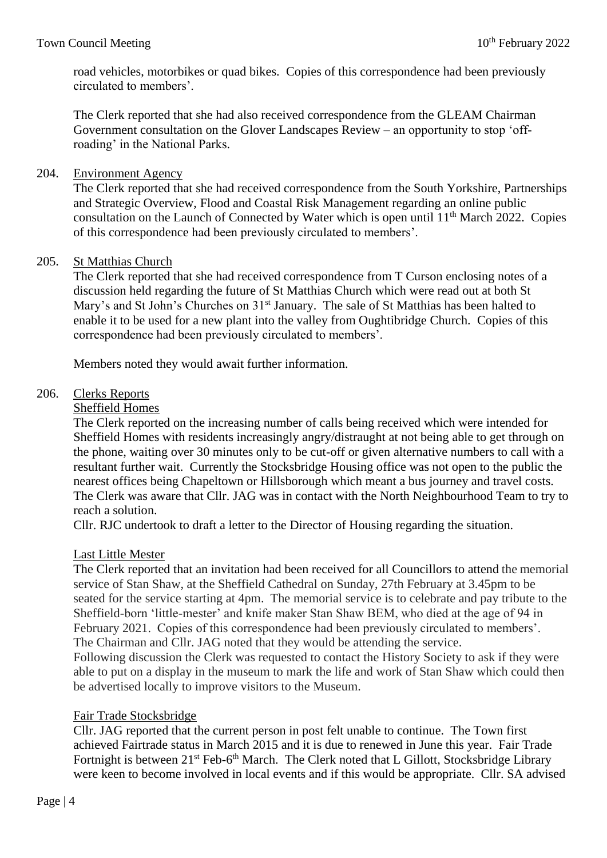road vehicles, motorbikes or quad bikes. Copies of this correspondence had been previously circulated to members'.

The Clerk reported that she had also received correspondence from the GLEAM Chairman Government consultation on the Glover Landscapes Review – an opportunity to stop 'offroading' in the National Parks.

# 204. Environment Agency

The Clerk reported that she had received correspondence from the South Yorkshire, Partnerships and Strategic Overview, Flood and Coastal Risk Management regarding an online public consultation on the Launch of Connected by Water which is open until  $11<sup>th</sup>$  March 2022. Copies of this correspondence had been previously circulated to members'.

# 205. St Matthias Church

The Clerk reported that she had received correspondence from T Curson enclosing notes of a discussion held regarding the future of St Matthias Church which were read out at both St Mary's and St John's Churches on 31<sup>st</sup> January. The sale of St Matthias has been halted to enable it to be used for a new plant into the valley from Oughtibridge Church. Copies of this correspondence had been previously circulated to members'.

Members noted they would await further information.

### 206. Clerks Reports

### Sheffield Homes

The Clerk reported on the increasing number of calls being received which were intended for Sheffield Homes with residents increasingly angry/distraught at not being able to get through on the phone, waiting over 30 minutes only to be cut-off or given alternative numbers to call with a resultant further wait. Currently the Stocksbridge Housing office was not open to the public the nearest offices being Chapeltown or Hillsborough which meant a bus journey and travel costs. The Clerk was aware that Cllr. JAG was in contact with the North Neighbourhood Team to try to reach a solution.

Cllr. RJC undertook to draft a letter to the Director of Housing regarding the situation.

### Last Little Mester

The Clerk reported that an invitation had been received for all Councillors to attend the memorial service of Stan Shaw, at the Sheffield Cathedral on Sunday, 27th February at 3.45pm to be seated for the service starting at 4pm. The memorial service is to celebrate and pay tribute to the Sheffield-born 'little-mester' and knife maker Stan Shaw BEM, who died at the age of 94 in February 2021. Copies of this correspondence had been previously circulated to members'. The Chairman and Cllr. JAG noted that they would be attending the service.

Following discussion the Clerk was requested to contact the History Society to ask if they were able to put on a display in the museum to mark the life and work of Stan Shaw which could then be advertised locally to improve visitors to the Museum.

### Fair Trade Stocksbridge

Cllr. JAG reported that the current person in post felt unable to continue. The Town first achieved Fairtrade status in March 2015 and it is due to renewed in June this year. Fair Trade Fortnight is between 21<sup>st</sup> Feb-6<sup>th</sup> March. The Clerk noted that L Gillott, Stocksbridge Library were keen to become involved in local events and if this would be appropriate. Cllr. SA advised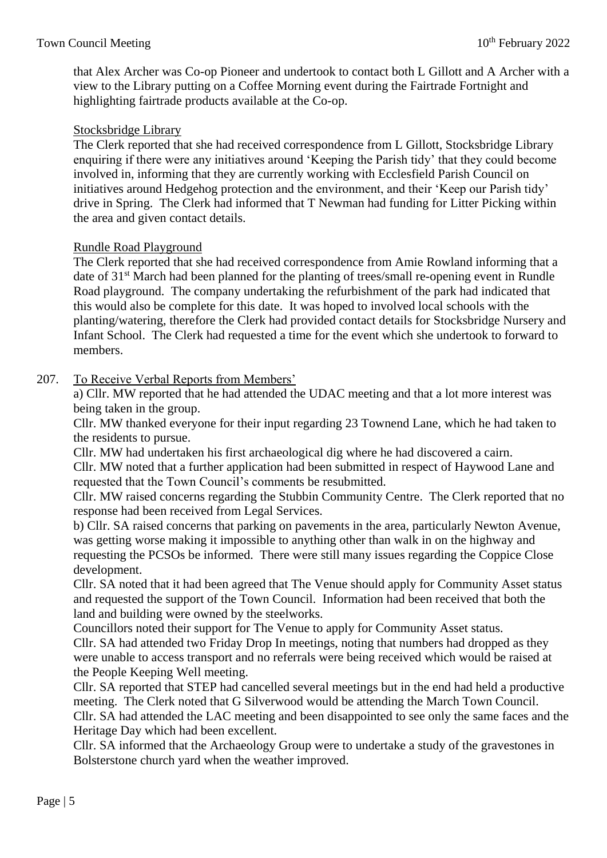that Alex Archer was Co-op Pioneer and undertook to contact both L Gillott and A Archer with a view to the Library putting on a Coffee Morning event during the Fairtrade Fortnight and highlighting fairtrade products available at the Co-op.

# Stocksbridge Library

The Clerk reported that she had received correspondence from L Gillott, Stocksbridge Library enquiring if there were any initiatives around 'Keeping the Parish tidy' that they could become involved in, informing that they are currently working with Ecclesfield Parish Council on initiatives around Hedgehog protection and the environment, and their 'Keep our Parish tidy' drive in Spring. The Clerk had informed that T Newman had funding for Litter Picking within the area and given contact details.

# Rundle Road Playground

The Clerk reported that she had received correspondence from Amie Rowland informing that a date of 31<sup>st</sup> March had been planned for the planting of trees/small re-opening event in Rundle Road playground. The company undertaking the refurbishment of the park had indicated that this would also be complete for this date. It was hoped to involved local schools with the planting/watering, therefore the Clerk had provided contact details for Stocksbridge Nursery and Infant School. The Clerk had requested a time for the event which she undertook to forward to members.

# 207. To Receive Verbal Reports from Members'

a) Cllr. MW reported that he had attended the UDAC meeting and that a lot more interest was being taken in the group.

Cllr. MW thanked everyone for their input regarding 23 Townend Lane, which he had taken to the residents to pursue.

Cllr. MW had undertaken his first archaeological dig where he had discovered a cairn. Cllr. MW noted that a further application had been submitted in respect of Haywood Lane and requested that the Town Council's comments be resubmitted.

Cllr. MW raised concerns regarding the Stubbin Community Centre. The Clerk reported that no response had been received from Legal Services.

b) Cllr. SA raised concerns that parking on pavements in the area, particularly Newton Avenue, was getting worse making it impossible to anything other than walk in on the highway and requesting the PCSOs be informed. There were still many issues regarding the Coppice Close development.

Cllr. SA noted that it had been agreed that The Venue should apply for Community Asset status and requested the support of the Town Council. Information had been received that both the land and building were owned by the steelworks.

Councillors noted their support for The Venue to apply for Community Asset status. Cllr. SA had attended two Friday Drop In meetings, noting that numbers had dropped as they were unable to access transport and no referrals were being received which would be raised at the People Keeping Well meeting.

Cllr. SA reported that STEP had cancelled several meetings but in the end had held a productive meeting. The Clerk noted that G Silverwood would be attending the March Town Council. Cllr. SA had attended the LAC meeting and been disappointed to see only the same faces and the Heritage Day which had been excellent.

Cllr. SA informed that the Archaeology Group were to undertake a study of the gravestones in Bolsterstone church yard when the weather improved.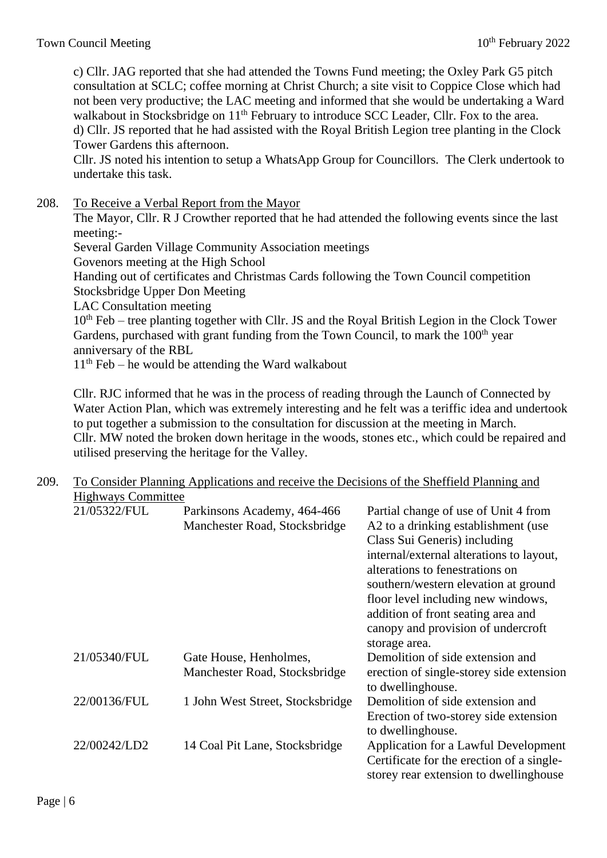c) Cllr. JAG reported that she had attended the Towns Fund meeting; the Oxley Park G5 pitch consultation at SCLC; coffee morning at Christ Church; a site visit to Coppice Close which had not been very productive; the LAC meeting and informed that she would be undertaking a Ward walkabout in Stocksbridge on 11<sup>th</sup> February to introduce SCC Leader, Cllr. Fox to the area. d) Cllr. JS reported that he had assisted with the Royal British Legion tree planting in the Clock Tower Gardens this afternoon.

Cllr. JS noted his intention to setup a WhatsApp Group for Councillors. The Clerk undertook to undertake this task.

208. To Receive a Verbal Report from the Mayor

The Mayor, Cllr. R J Crowther reported that he had attended the following events since the last meeting:-

Several Garden Village Community Association meetings

Govenors meeting at the High School

Handing out of certificates and Christmas Cards following the Town Council competition Stocksbridge Upper Don Meeting

LAC Consultation meeting

 $10<sup>th</sup>$  Feb – tree planting together with Cllr. JS and the Royal British Legion in the Clock Tower Gardens, purchased with grant funding from the Town Council, to mark the 100<sup>th</sup> year anniversary of the RBL

 $11<sup>th</sup>$  Feb – he would be attending the Ward walkabout

Cllr. RJC informed that he was in the process of reading through the Launch of Connected by Water Action Plan, which was extremely interesting and he felt was a teriffic idea and undertook to put together a submission to the consultation for discussion at the meeting in March. Cllr. MW noted the broken down heritage in the woods, stones etc., which could be repaired and utilised preserving the heritage for the Valley.

# 209. To Consider Planning Applications and receive the Decisions of the Sheffield Planning and Highways Committee 21/05322/FUL Parkinsons Academy, 464-466 Partial change of use of Unit 4 from Manchester Road, Stocksbridge A2 to a drinking establishment (use Class Sui Generis) including internal/external alterations to layout, alterations to fenestrations on southern/western elevation at ground floor level including new windows, addition of front seating area and canopy and provision of undercroft storage area. 21/05340/FUL Gate House, Henholmes, Demolition of side extension and Manchester Road, Stocksbridge erection of single-storey side extension to dwellinghouse. 22/00136/FUL 1 John West Street, Stocksbridge Demolition of side extension and Erection of two-storey side extension to dwellinghouse. 22/00242/LD2 14 Coal Pit Lane, Stocksbridge Application for a Lawful Development Certificate for the erection of a singlestorey rear extension to dwellinghouse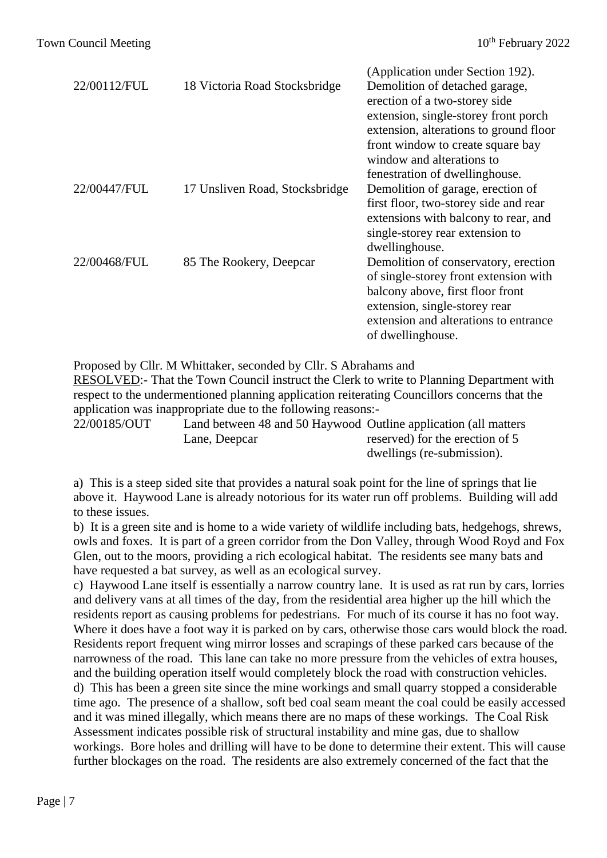| 22/00112/FUL | 18 Victoria Road Stocksbridge  | (Application under Section 192).<br>Demolition of detached garage,<br>erection of a two-storey side |
|--------------|--------------------------------|-----------------------------------------------------------------------------------------------------|
|              |                                | extension, single-storey front porch<br>extension, alterations to ground floor                      |
|              |                                | front window to create square bay<br>window and alterations to                                      |
|              |                                | fenestration of dwellinghouse.                                                                      |
| 22/00447/FUL | 17 Unsliven Road, Stocksbridge | Demolition of garage, erection of                                                                   |
|              |                                | first floor, two-storey side and rear                                                               |
|              |                                | extensions with balcony to rear, and                                                                |
|              |                                | single-storey rear extension to                                                                     |
|              |                                | dwellinghouse.                                                                                      |
| 22/00468/FUL | 85 The Rookery, Deepcar        | Demolition of conservatory, erection                                                                |
|              |                                | of single-storey front extension with                                                               |
|              |                                | balcony above, first floor front                                                                    |
|              |                                | extension, single-storey rear                                                                       |
|              |                                | extension and alterations to entrance<br>of dwellinghouse.                                          |
|              |                                |                                                                                                     |

Proposed by Cllr. M Whittaker, seconded by Cllr. S Abrahams and RESOLVED:- That the Town Council instruct the Clerk to write to Planning Department with respect to the undermentioned planning application reiterating Councillors concerns that the application was inappropriate due to the following reasons:-

22/00185/OUT Land between 48 and 50 Haywood Outline application (all matters Lane, Deepcar reserved) for the erection of 5 dwellings (re-submission).

a) This is a steep sided site that provides a natural soak point for the line of springs that lie above it. Haywood Lane is already notorious for its water run off problems. Building will add to these issues.

b) It is a green site and is home to a wide variety of wildlife including bats, hedgehogs, shrews, owls and foxes. It is part of a green corridor from the Don Valley, through Wood Royd and Fox Glen, out to the moors, providing a rich ecological habitat. The residents see many bats and have requested a bat survey, as well as an ecological survey.

c) Haywood Lane itself is essentially a narrow country lane. It is used as rat run by cars, lorries and delivery vans at all times of the day, from the residential area higher up the hill which the residents report as causing problems for pedestrians. For much of its course it has no foot way. Where it does have a foot way it is parked on by cars, otherwise those cars would block the road. Residents report frequent wing mirror losses and scrapings of these parked cars because of the narrowness of the road. This lane can take no more pressure from the vehicles of extra houses, and the building operation itself would completely block the road with construction vehicles. d) This has been a green site since the mine workings and small quarry stopped a considerable time ago. The presence of a shallow, soft bed coal seam meant the coal could be easily accessed and it was mined illegally, which means there are no maps of these workings. The Coal Risk Assessment indicates possible risk of structural instability and mine gas, due to shallow workings. Bore holes and drilling will have to be done to determine their extent. This will cause further blockages on the road. The residents are also extremely concerned of the fact that the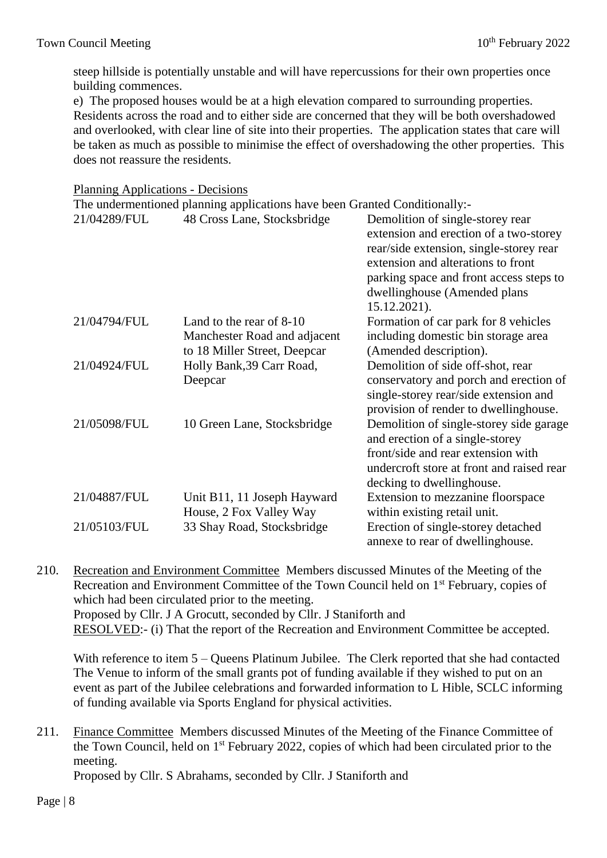steep hillside is potentially unstable and will have repercussions for their own properties once building commences.

e) The proposed houses would be at a high elevation compared to surrounding properties. Residents across the road and to either side are concerned that they will be both overshadowed and overlooked, with clear line of site into their properties. The application states that care will be taken as much as possible to minimise the effect of overshadowing the other properties. This does not reassure the residents.

#### Planning Applications - Decisions

|              | The undermentioned planning applications have been Granted Conditionally:-               |                                                                                                                                                                                                                                                        |
|--------------|------------------------------------------------------------------------------------------|--------------------------------------------------------------------------------------------------------------------------------------------------------------------------------------------------------------------------------------------------------|
| 21/04289/FUL | 48 Cross Lane, Stocksbridge                                                              | Demolition of single-storey rear<br>extension and erection of a two-storey<br>rear/side extension, single-storey rear<br>extension and alterations to front<br>parking space and front access steps to<br>dwellinghouse (Amended plans<br>15.12.2021). |
| 21/04794/FUL | Land to the rear of 8-10<br>Manchester Road and adjacent<br>to 18 Miller Street, Deepcar | Formation of car park for 8 vehicles<br>including domestic bin storage area<br>(Amended description).                                                                                                                                                  |
| 21/04924/FUL | Holly Bank, 39 Carr Road,<br>Deepcar                                                     | Demolition of side off-shot, rear<br>conservatory and porch and erection of<br>single-storey rear/side extension and<br>provision of render to dwellinghouse.                                                                                          |
| 21/05098/FUL | 10 Green Lane, Stocksbridge                                                              | Demolition of single-storey side garage<br>and erection of a single-storey<br>front/side and rear extension with<br>undercroft store at front and raised rear<br>decking to dwellinghouse.                                                             |
| 21/04887/FUL | Unit B11, 11 Joseph Hayward<br>House, 2 Fox Valley Way                                   | Extension to mezzanine floorspace<br>within existing retail unit.                                                                                                                                                                                      |
| 21/05103/FUL | 33 Shay Road, Stocksbridge                                                               | Erection of single-storey detached<br>annexe to rear of dwellinghouse.                                                                                                                                                                                 |

210. Recreation and Environment Committee Members discussed Minutes of the Meeting of the Recreation and Environment Committee of the Town Council held on 1<sup>st</sup> February, copies of which had been circulated prior to the meeting. Proposed by Cllr. J A Grocutt, seconded by Cllr. J Staniforth and RESOLVED:- (i) That the report of the Recreation and Environment Committee be accepted.

With reference to item 5 – Queens Platinum Jubilee. The Clerk reported that she had contacted The Venue to inform of the small grants pot of funding available if they wished to put on an event as part of the Jubilee celebrations and forwarded information to L Hible, SCLC informing of funding available via Sports England for physical activities.

# 211. Finance Committee Members discussed Minutes of the Meeting of the Finance Committee of the Town Council, held on 1<sup>st</sup> February 2022, copies of which had been circulated prior to the meeting.

Proposed by Cllr. S Abrahams, seconded by Cllr. J Staniforth and